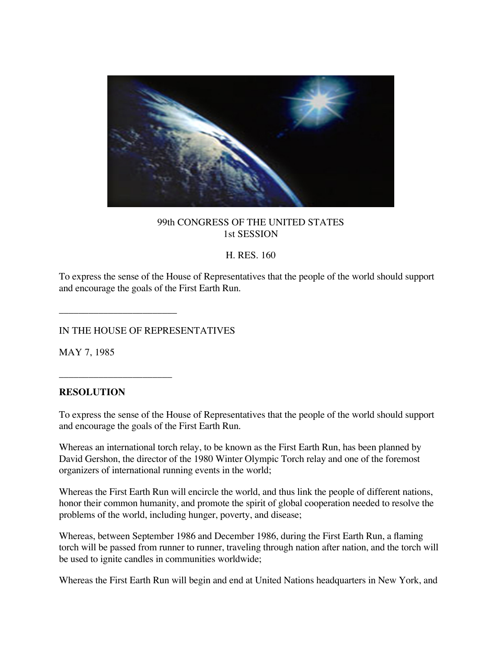

## 99th CONGRESS OF THE UNITED STATES 1st SESSION

## H. RES. 160

To express the sense of the House of Representatives that the people of the world should support and encourage the goals of the First Earth Run.

IN THE HOUSE OF REPRESENTATIVES

\_\_\_\_\_\_\_\_\_\_\_\_\_\_\_\_\_\_\_\_\_\_\_\_

\_\_\_\_\_\_\_\_\_\_\_\_\_\_\_\_\_\_\_\_\_\_\_

MAY 7, 1985

## **RESOLUTION**

To express the sense of the House of Representatives that the people of the world should support and encourage the goals of the First Earth Run.

Whereas an international torch relay, to be known as the First Earth Run, has been planned by David Gershon, the director of the 1980 Winter Olympic Torch relay and one of the foremost organizers of international running events in the world;

Whereas the First Earth Run will encircle the world, and thus link the people of different nations, honor their common humanity, and promote the spirit of global cooperation needed to resolve the problems of the world, including hunger, poverty, and disease;

Whereas, between September 1986 and December 1986, during the First Earth Run, a flaming torch will be passed from runner to runner, traveling through nation after nation, and the torch will be used to ignite candles in communities worldwide;

Whereas the First Earth Run will begin and end at United Nations headquarters in New York, and